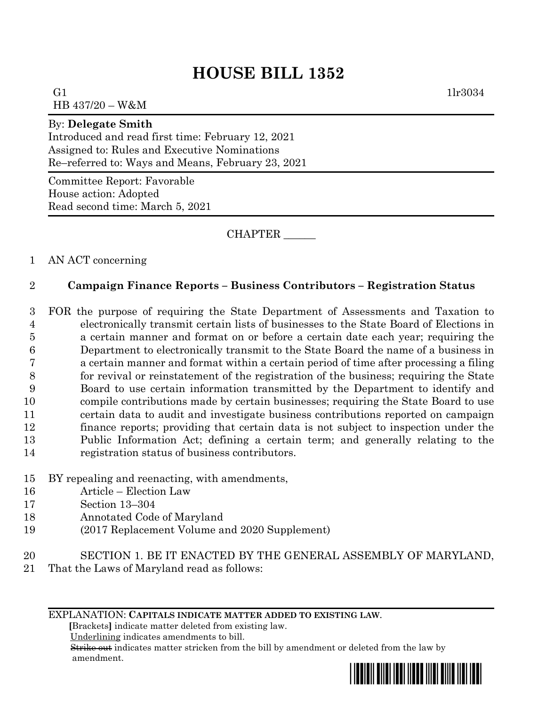## **HOUSE BILL 1352**

G1  $1\text{lr}3034$ HB 437/20 – W&M

By: **Delegate Smith**

Introduced and read first time: February 12, 2021 Assigned to: Rules and Executive Nominations Re–referred to: Ways and Means, February 23, 2021

Committee Report: Favorable House action: Adopted Read second time: March 5, 2021

CHAPTER \_\_\_\_\_\_

1 AN ACT concerning

## 2 **Campaign Finance Reports – Business Contributors – Registration Status**

 FOR the purpose of requiring the State Department of Assessments and Taxation to electronically transmit certain lists of businesses to the State Board of Elections in a certain manner and format on or before a certain date each year; requiring the Department to electronically transmit to the State Board the name of a business in a certain manner and format within a certain period of time after processing a filing for revival or reinstatement of the registration of the business; requiring the State Board to use certain information transmitted by the Department to identify and compile contributions made by certain businesses; requiring the State Board to use certain data to audit and investigate business contributions reported on campaign finance reports; providing that certain data is not subject to inspection under the Public Information Act; defining a certain term; and generally relating to the registration status of business contributors.

- 15 BY repealing and reenacting, with amendments,
- 16 Article Election Law
- 17 Section 13–304
- 18 Annotated Code of Maryland
- 19 (2017 Replacement Volume and 2020 Supplement)
- 20 SECTION 1. BE IT ENACTED BY THE GENERAL ASSEMBLY OF MARYLAND,
- 21 That the Laws of Maryland read as follows:

## EXPLANATION: **CAPITALS INDICATE MATTER ADDED TO EXISTING LAW**.

 **[**Brackets**]** indicate matter deleted from existing law.

Underlining indicates amendments to bill.

 Strike out indicates matter stricken from the bill by amendment or deleted from the law by amendment.

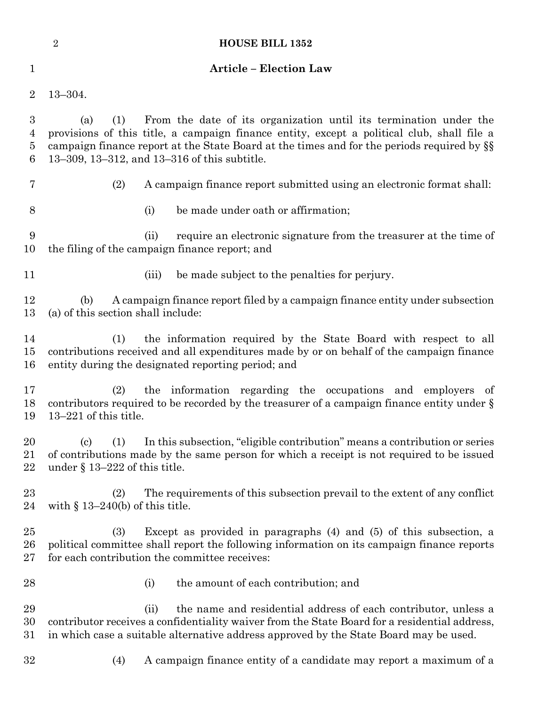|                                              | $\overline{2}$          | <b>HOUSE BILL 1352</b>                                                                                                                                                                                                                                                                                               |
|----------------------------------------------|-------------------------|----------------------------------------------------------------------------------------------------------------------------------------------------------------------------------------------------------------------------------------------------------------------------------------------------------------------|
| 1                                            |                         | <b>Article - Election Law</b>                                                                                                                                                                                                                                                                                        |
| $\overline{2}$                               | $13 - 304.$             |                                                                                                                                                                                                                                                                                                                      |
| $\boldsymbol{3}$<br>$\overline{4}$<br>5<br>6 | (a)                     | From the date of its organization until its termination under the<br>(1)<br>provisions of this title, a campaign finance entity, except a political club, shall file a<br>campaign finance report at the State Board at the times and for the periods required by §§<br>13–309, 13–312, and 13–316 of this subtitle. |
| 7                                            |                         | (2)<br>A campaign finance report submitted using an electronic format shall:                                                                                                                                                                                                                                         |
| 8                                            |                         | (i)<br>be made under oath or affirmation;                                                                                                                                                                                                                                                                            |
| 9<br>10                                      |                         | require an electronic signature from the treasurer at the time of<br>(ii)<br>the filing of the campaign finance report; and                                                                                                                                                                                          |
| 11                                           |                         | (iii)<br>be made subject to the penalties for perjury.                                                                                                                                                                                                                                                               |
| 12<br>13                                     | (b)                     | A campaign finance report filed by a campaign finance entity under subsection<br>(a) of this section shall include:                                                                                                                                                                                                  |
| 14<br>15<br>16                               |                         | the information required by the State Board with respect to all<br>(1)<br>contributions received and all expenditures made by or on behalf of the campaign finance<br>entity during the designated reporting period; and                                                                                             |
| 17<br>18<br>19                               | $13-221$ of this title. | the information regarding the occupations and employers of<br>(2)<br>contributors required to be recorded by the treasurer of a campaign finance entity under $\S$                                                                                                                                                   |
| 20<br>21<br>22                               | (c)                     | In this subsection, "eligible contribution" means a contribution or series<br>(1)<br>of contributions made by the same person for which a receipt is not required to be issued<br>under $\S$ 13–222 of this title.                                                                                                   |
| 23<br>24                                     |                         | The requirements of this subsection prevail to the extent of any conflict<br>(2)<br>with $\S$ 13–240(b) of this title.                                                                                                                                                                                               |
| $25\,$<br>26<br>27                           |                         | Except as provided in paragraphs $(4)$ and $(5)$ of this subsection, a<br>(3)<br>political committee shall report the following information on its campaign finance reports<br>for each contribution the committee receives:                                                                                         |
| 28                                           |                         | the amount of each contribution; and<br>(i)                                                                                                                                                                                                                                                                          |
| 29<br>30<br>$31\,$                           |                         | the name and residential address of each contributor, unless a<br>(ii)<br>contributor receives a confidentiality waiver from the State Board for a residential address,<br>in which case a suitable alternative address approved by the State Board may be used.                                                     |
| 32                                           |                         | A campaign finance entity of a candidate may report a maximum of a<br>(4)                                                                                                                                                                                                                                            |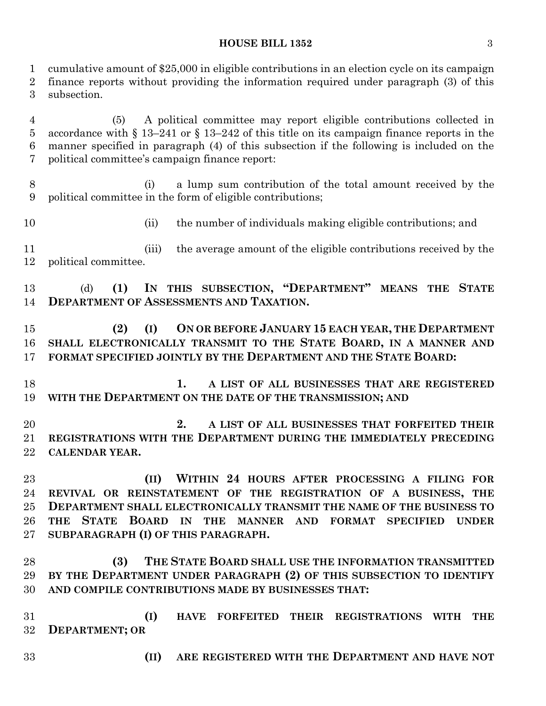## **HOUSE BILL 1352** 3

 cumulative amount of \$25,000 in eligible contributions in an election cycle on its campaign finance reports without providing the information required under paragraph (3) of this subsection. (5) A political committee may report eligible contributions collected in accordance with § 13–241 or § 13–242 of this title on its campaign finance reports in the manner specified in paragraph (4) of this subsection if the following is included on the political committee's campaign finance report:

 (i) a lump sum contribution of the total amount received by the political committee in the form of eligible contributions;

(ii) the number of individuals making eligible contributions; and

11 (iii) the average amount of the eligible contributions received by the political committee.

 (d) **(1) IN THIS SUBSECTION, "DEPARTMENT" MEANS THE STATE DEPARTMENT OF ASSESSMENTS AND TAXATION.**

 **(2) (I) ON OR BEFORE JANUARY 15 EACH YEAR, THE DEPARTMENT SHALL ELECTRONICALLY TRANSMIT TO THE STATE BOARD, IN A MANNER AND FORMAT SPECIFIED JOINTLY BY THE DEPARTMENT AND THE STATE BOARD:**

 **1. A LIST OF ALL BUSINESSES THAT ARE REGISTERED WITH THE DEPARTMENT ON THE DATE OF THE TRANSMISSION; AND**

 **2. A LIST OF ALL BUSINESSES THAT FORFEITED THEIR REGISTRATIONS WITH THE DEPARTMENT DURING THE IMMEDIATELY PRECEDING CALENDAR YEAR.**

 **(II) WITHIN 24 HOURS AFTER PROCESSING A FILING FOR REVIVAL OR REINSTATEMENT OF THE REGISTRATION OF A BUSINESS, THE DEPARTMENT SHALL ELECTRONICALLY TRANSMIT THE NAME OF THE BUSINESS TO THE STATE BOARD IN THE MANNER AND FORMAT SPECIFIED UNDER SUBPARAGRAPH (I) OF THIS PARAGRAPH.**

 **(3) THE STATE BOARD SHALL USE THE INFORMATION TRANSMITTED BY THE DEPARTMENT UNDER PARAGRAPH (2) OF THIS SUBSECTION TO IDENTIFY AND COMPILE CONTRIBUTIONS MADE BY BUSINESSES THAT:**

 **(I) HAVE FORFEITED THEIR REGISTRATIONS WITH THE DEPARTMENT; OR**

- 
- **(II) ARE REGISTERED WITH THE DEPARTMENT AND HAVE NOT**